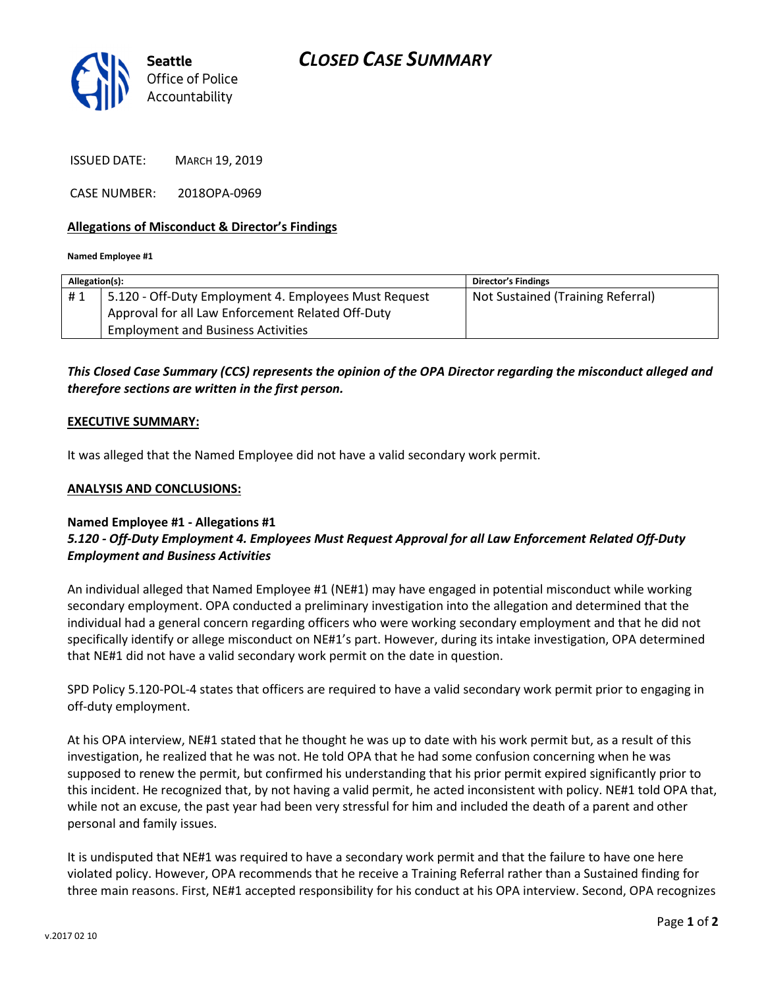

ISSUED DATE: MARCH 19, 2019

CASE NUMBER: 2018OPA-0969

### Allegations of Misconduct & Director's Findings

Named Employee #1

| Allegation(s): |                                                       | <b>Director's Findings</b>        |
|----------------|-------------------------------------------------------|-----------------------------------|
| #1             | 5.120 - Off-Duty Employment 4. Employees Must Request | Not Sustained (Training Referral) |
|                | Approval for all Law Enforcement Related Off-Duty     |                                   |
|                | <b>Employment and Business Activities</b>             |                                   |
|                |                                                       |                                   |

This Closed Case Summary (CCS) represents the opinion of the OPA Director regarding the misconduct alleged and therefore sections are written in the first person.

#### EXECUTIVE SUMMARY:

It was alleged that the Named Employee did not have a valid secondary work permit.

### ANALYSIS AND CONCLUSIONS:

## Named Employee #1 - Allegations #1 5.120 - Off-Duty Employment 4. Employees Must Request Approval for all Law Enforcement Related Off-Duty Employment and Business Activities

An individual alleged that Named Employee #1 (NE#1) may have engaged in potential misconduct while working secondary employment. OPA conducted a preliminary investigation into the allegation and determined that the individual had a general concern regarding officers who were working secondary employment and that he did not specifically identify or allege misconduct on NE#1's part. However, during its intake investigation, OPA determined that NE#1 did not have a valid secondary work permit on the date in question.

SPD Policy 5.120-POL-4 states that officers are required to have a valid secondary work permit prior to engaging in off-duty employment.

At his OPA interview, NE#1 stated that he thought he was up to date with his work permit but, as a result of this investigation, he realized that he was not. He told OPA that he had some confusion concerning when he was supposed to renew the permit, but confirmed his understanding that his prior permit expired significantly prior to this incident. He recognized that, by not having a valid permit, he acted inconsistent with policy. NE#1 told OPA that, while not an excuse, the past year had been very stressful for him and included the death of a parent and other personal and family issues.

It is undisputed that NE#1 was required to have a secondary work permit and that the failure to have one here violated policy. However, OPA recommends that he receive a Training Referral rather than a Sustained finding for three main reasons. First, NE#1 accepted responsibility for his conduct at his OPA interview. Second, OPA recognizes